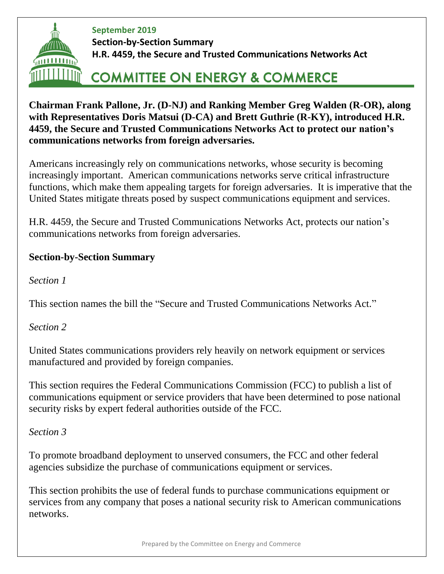

**September 2019 Section-by-Section Summary H.R. 4459, the Secure and Trusted Communications Networks Act**

# **COMMITTEE ON ENERGY & COMMERCE**

**Chairman Frank Pallone, Jr. (D-NJ) and Ranking Member Greg Walden (R-OR), along with Representatives Doris Matsui (D-CA) and Brett Guthrie (R-KY), introduced H.R. 4459, the Secure and Trusted Communications Networks Act to protect our nation's communications networks from foreign adversaries.**

Americans increasingly rely on communications networks, whose security is becoming increasingly important. American communications networks serve critical infrastructure functions, which make them appealing targets for foreign adversaries. It is imperative that the United States mitigate threats posed by suspect communications equipment and services.

H.R. 4459, the Secure and Trusted Communications Networks Act, protects our nation's communications networks from foreign adversaries*.*

## **Section-by-Section Summary**

*Section 1*

This section names the bill the "Secure and Trusted Communications Networks Act."

*Section 2*

United States communications providers rely heavily on network equipment or services manufactured and provided by foreign companies.

This section requires the Federal Communications Commission (FCC) to publish a list of communications equipment or service providers that have been determined to pose national security risks by expert federal authorities outside of the FCC.

*Section 3*

To promote broadband deployment to unserved consumers, the FCC and other federal agencies subsidize the purchase of communications equipment or services.

This section prohibits the use of federal funds to purchase communications equipment or services from any company that poses a national security risk to American communications networks.